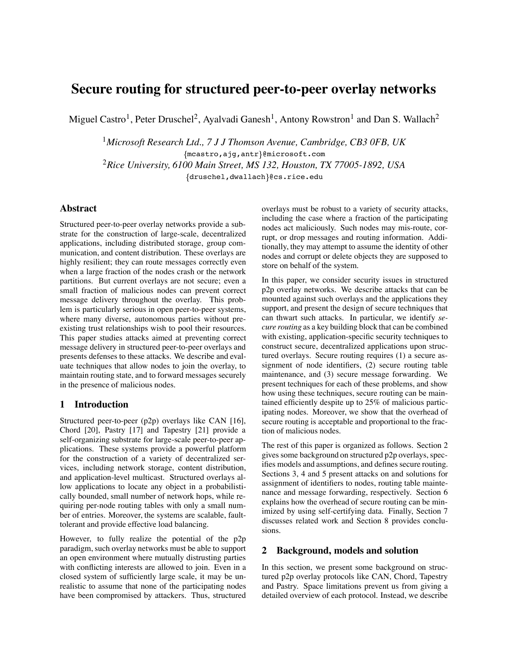### **Secure routing for structured peer-to-peer overlay networks**

Miguel Castro<sup>1</sup>, Peter Druschel<sup>2</sup>, Ayalvadi Ganesh<sup>1</sup>, Antony Rowstron<sup>1</sup> and Dan S. Wallach<sup>2</sup>

<sup>1</sup>*Microsoft Research Ltd., 7 J J Thomson Avenue, Cambridge, CB3 0FB, UK* {mcastro, ajg, antr}@microsoft.com <sup>2</sup>*Rice University, 6100 Main Street, MS 132, Houston, TX 77005-1892, USA* druschel,dwallach @cs.rice.edu

#### **Abstract**

Structured peer-to-peer overlay networks provide a substrate for the construction of large-scale, decentralized applications, including distributed storage, group communication, and content distribution. These overlays are highly resilient; they can route messages correctly even when a large fraction of the nodes crash or the network partitions. But current overlays are not secure; even a small fraction of malicious nodes can prevent correct message delivery throughout the overlay. This problem is particularly serious in open peer-to-peer systems, where many diverse, autonomous parties without preexisting trust relationships wish to pool their resources. This paper studies attacks aimed at preventing correct message delivery in structured peer-to-peer overlays and presents defenses to these attacks. We describe and evaluate techniques that allow nodes to join the overlay, to maintain routing state, and to forward messages securely in the presence of malicious nodes.

#### **1 Introduction**

Structured peer-to-peer (p2p) overlays like CAN [16], Chord [20], Pastry [17] and Tapestry [21] provide a self-organizing substrate for large-scale peer-to-peer applications. These systems provide a powerful platform for the construction of a variety of decentralized services, including network storage, content distribution, and application-level multicast. Structured overlays allow applications to locate any object in a probabilistically bounded, small number of network hops, while requiring per-node routing tables with only a small number of entries. Moreover, the systems are scalable, faulttolerant and provide effective load balancing.

However, to fully realize the potential of the p2p paradigm, such overlay networks must be able to support an open environment where mutually distrusting parties with conflicting interests are allowed to join. Even in a closed system of sufficiently large scale, it may be unrealistic to assume that none of the participating nodes have been compromised by attackers. Thus, structured overlays must be robust to a variety of security attacks, including the case where a fraction of the participating nodes act maliciously. Such nodes may mis-route, corrupt, or drop messages and routing information. Additionally, they may attempt to assume the identity of other nodes and corrupt or delete objects they are supposed to store on behalf of the system.

In this paper, we consider security issues in structured p2p overlay networks. We describe attacks that can be mounted against such overlays and the applications they support, and present the design of secure techniques that can thwart such attacks. In particular, we identify *secure routing* as a key building block that can be combined with existing, application-specific security techniques to construct secure, decentralized applications upon structured overlays. Secure routing requires (1) a secure assignment of node identifiers, (2) secure routing table maintenance, and (3) secure message forwarding. We present techniques for each of these problems, and show how using these techniques, secure routing can be maintained efficiently despite up to 25% of malicious participating nodes. Moreover, we show that the overhead of secure routing is acceptable and proportional to the fraction of malicious nodes.

The rest of this paper is organized as follows. Section 2 gives some background on structured p2p overlays, specifies models and assumptions, and defines secure routing. Sections 3, 4 and 5 present attacks on and solutions for assignment of identifiers to nodes, routing table maintenance and message forwarding, respectively. Section 6 explains how the overhead of secure routing can be minimized by using self-certifying data. Finally, Section 7 discusses related work and Section 8 provides conclusions.

#### **2 Background, models and solution**

In this section, we present some background on structured p2p overlay protocols like CAN, Chord, Tapestry and Pastry. Space limitations prevent us from giving a detailed overview of each protocol. Instead, we describe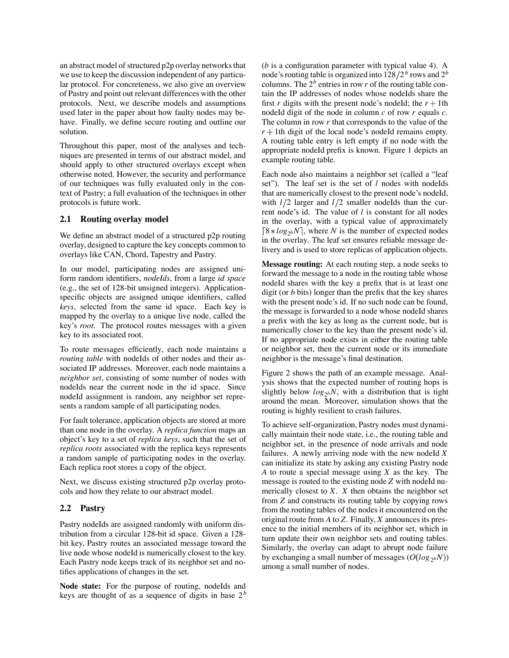an abstract model of structured  $p2p$  overlay networks that we use to keep the discussion independent of any particular protocol. For concreteness, we also give an overview of Pastry and point out relevant differences with the other protocols. Next, we describe models and assumptions used later in the paper about how faulty nodes may behave. Finally, we define secure routing and outline our solution.

Throughout this paper, most of the analyses and techniques are presented in terms of our abstract model, and should apply to other structured overlays except when otherwise noted. However, the security and performance of our techniques was fully evaluated only in the context of Pastry; a full evaluation of the techniques in other protocols is future work.

#### **2.1 Routing overlay model**

We define an abstract model of a structured p2p routing overlay, designed to capture the key concepts common to overlays like CAN, Chord, Tapestry and Pastry.

In our model, participating nodes are assigned uniform random identifiers, *nodeIds*, from a large *id space* (e.g., the set of 128-bit unsigned integers). Applicationspecific objects are assigned unique identifiers, called *keys*, selected from the same id space. Each key is mapped by the overlay to a unique live node, called the key's *root*. The protocol routes messages with a given key to its associated root.

To route messages efficiently, each node maintains a *routing table* with nodeIds of other nodes and their associated IP addresses. Moreover, each node maintains a *neighbor set*, consisting of some number of nodes with nodeIds near the current node in the id space. Since nodeId assignment is random, any neighbor set represents a random sample of all participating nodes.

For fault tolerance, application objects are stored at more than one node in the overlay. A *replica function* maps an object's key to a set of *replica keys*, such that the set of *replica roots* associated with the replica keys represents a random sample of participating nodes in the overlay. Each replica root stores a copy of the object.

Next, we discuss existing structured p2p overlay protocols and how they relate to our abstract model.

#### **2.2 Pastry**

Pastry nodeIds are assigned randomly with uniform distribution from a circular 128-bit id space. Given a 128 bit key, Pastry routes an associated message toward the live node whose nodeId is numerically closest to the key. Each Pastry node keeps track of its neighbor set and notifies applications of changes in the set.

**Node state:** For the purpose of routing, nodeIds and keys are thought of as a sequence of digits in base 2*<sup>b</sup>* (*b* is a configuration parameter with typical value 4). A node's routing table is organized into  $128/2<sup>b</sup>$  rows and  $2<sup>b</sup>$ columns. The  $2^b$  entries in row *r* of the routing table contain the IP addresses of nodes whose nodeIds share the first *r* digits with the present node's nodeId; the  $r + 1$ th nodeId digit of the node in column *c* of row *r* equals *c*. The column in row *r* that corresponds to the value of the  $r + 1$ th digit of the local node's nodeId remains empty. A routing table entry is left empty if no node with the appropriate nodeId prefix is known. Figure 1 depicts an example routing table.

Each node also maintains a neighbor set (called a "leaf set"). The leaf set is the set of *l* nodes with nodeIds that are numerically closest to the present node's nodeId, with  $l/2$  larger and  $l/2$  smaller nodelds than the current node's id. The value of *l* is constant for all nodes in the overlay, with a typical value of approximately  $[8 * log<sub>2</sub>bN]$ , where *N* is the number of expected nodes in the overlay. The leaf set ensures reliable message delivery and is used to store replicas of application objects.

**Message routing:** At each routing step, a node seeks to forward the message to a node in the routing table whose nodeId shares with the key a prefix that is at least one digit (or *b* bits) longer than the prefix that the key shares with the present node's id. If no such node can be found, the message is forwarded to a node whose nodeId shares a prefix with the key as long as the current node, but is numerically closer to the key than the present node's id. If no appropriate node exists in either the routing table or neighbor set, then the current node or its immediate neighbor is the message's final destination.

Figure 2 shows the path of an example message. Analysis shows that the expected number of routing hops is slightly below  $log_{2b}N$ , with a distribution that is tight around the mean. Moreover, simulation shows that the routing is highly resilient to crash failures.

To achieve self-organization, Pastry nodes must dynamically maintain their node state, i.e., the routing table and neighbor set, in the presence of node arrivals and node failures. A newly arriving node with the new nodeId *X* can initialize its state by asking any existing Pastry node *A* to route a special message using *X* as the key. The message is routed to the existing node *Z* with nodeId numerically closest to *X*. *X* then obtains the neighbor set from *Z* and constructs its routing table by copying rows from the routing tables of the nodes it encountered on the original route from *A* to *Z*. Finally, *X* announcesits presence to the initial members of its neighbor set, which in turn update their own neighbor sets and routing tables. Similarly, the overlay can adapt to abrupt node failure by exchanging a small number of messages  $(O(log_{2b}N))$ among a small number of nodes.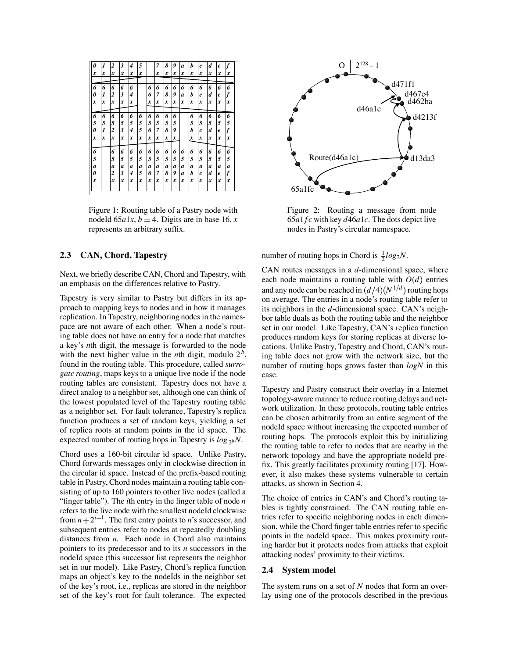| 0 | 1 | $\overline{c}$   | 3 | 4                       | 5 |   | 7 | 8 | 9 |   | h | $\boldsymbol{c}$ | d                |                  | f                |
|---|---|------------------|---|-------------------------|---|---|---|---|---|---|---|------------------|------------------|------------------|------------------|
|   |   |                  |   |                         |   |   |   |   |   | a |   |                  |                  | $\boldsymbol{e}$ |                  |
| x | x | x                | x | x                       | x |   | x | x | x | x | x | x                | x                | x                | x                |
|   |   |                  |   |                         |   |   |   |   |   |   |   |                  |                  |                  |                  |
| 6 | 6 | 6                | 6 | 6                       |   | 6 | 6 | 6 | 6 | 6 | 6 | 6                | 6                | 6                | 6                |
| 0 | 1 | 2                | 3 | 4                       |   | 6 | 7 | 8 | 9 | a | b | $\boldsymbol{c}$ | $\boldsymbol{d}$ | e                | $\boldsymbol{f}$ |
| x | x | x                | x | x                       |   | x | x | x | x | x | x | x                | x                | x                | x                |
|   |   |                  |   |                         |   |   |   |   |   |   |   |                  |                  |                  |                  |
| 6 | 6 | 6                | 6 | 6                       | 6 | 6 | 6 | 6 | 6 |   | 6 | 6                | 6                | 6                | 6                |
| 5 | 5 | 5                | 5 | 5                       | 5 | 5 | 5 | 5 | 5 |   | 5 | 5                | 5                | 5                | 5                |
| 0 | 1 | $\boldsymbol{2}$ | 3 | $\overline{\mathbf{4}}$ | 5 | 6 | 7 | 8 | 9 |   | b | $\mathfrak c$    | $\boldsymbol{d}$ | e                | $\boldsymbol{f}$ |
| x | x | x                | x | x                       | x | x | x | x | x |   | x | x                | x                | x                | x                |
|   |   |                  |   |                         |   |   |   |   |   |   |   |                  |                  |                  |                  |
| 6 |   | 6                | 6 | 6                       | 6 | 6 | 6 | 6 | 6 | 6 | 6 | 6                | 6                | 6                | 6                |
| 5 |   | 5                | 5 | 5                       | 5 | 5 | 5 | 5 | 5 | 5 | 5 | 5                | 5                | 5                | 5                |
| a |   | a                | a | a                       | a | a | a | a | a | a | a | a                | a                | a                | a                |
| 0 |   | $\overline{c}$   | 3 | 4                       | 5 | 6 | 7 | 8 | 9 | a | b | $\mathfrak c$    | $\boldsymbol{d}$ | $\boldsymbol{e}$ | $\boldsymbol{f}$ |
| x |   | x                | x | x                       | x | x | x | x | x | x | x | x                | x                | x                | x                |
|   |   |                  |   |                         |   |   |   |   |   |   |   |                  |                  |                  |                  |

Figure 1: Routing table of a Pastry node with nodeId  $65a1x$ ,  $b = 4$ . Digits are in base 16, *x* represents an arbitrary suffix.

#### **2.3 CAN, Chord, Tapestry**

Next, we briefly describe CAN, Chord and Tapestry, with an emphasis on the differences relative to Pastry.

Tapestry is very similar to Pastry but differs in its approach to mapping keys to nodes and in how it manages replication. In Tapestry, neighboring nodes in the namespace are not aware of each other. When a node's routing table does not have an entry for a node that matches a key's *n*th digit, the message is forwarded to the node with the next higher value in the *n*th digit, modulo  $2<sup>b</sup>$ , found in the routing table. This procedure, called *surrogate routing*, maps keys to a unique live node if the node routing tables are consistent. Tapestry does not have a direct analog to a neighbor set, although one can think of the lowest populated level of the Tapestry routing table as a neighbor set. For fault tolerance, Tapestry's replica function produces a set of random keys, yielding a set of replica roots at random points in the id space. The expected number of routing hops in Tapestry is  $log_{2b}N$ .

Chord uses a 160-bit circular id space. Unlike Pastry, Chord forwards messages only in clockwise direction in the circular id space. Instead of the prefix-based routing table in Pastry, Chord nodes maintain a routing table consisting of up to 160 pointers to other live nodes (called a "finger table"). The *i*th entry in the finger table of node *n* refers to the live node with the smallest nodeId clockwise from  $n + 2^{i-1}$ . The first entry points to *n*'s successor, and subsequent entries refer to nodes at repeatedly doubling distances from *n*. Each node in Chord also maintains pointers to its predecessor and to its *n* successors in the nodeId space (this successor list represents the neighbor set in our model). Like Pastry, Chord's replica function maps an object's key to the nodeIds in the neighbor set of the key's root, i.e., replicas are stored in the neighbor set of the key's root for fault tolerance. The expected



Figure 2: Routing a message from node 65*a*1 *f c* with key *d*46*a*1*c*. The dots depict live nodes in Pastry's circular namespace.

number of routing hops in Chord is  $\frac{1}{2}log_2N$ .

CAN routes messages in a *d*-dimensional space, where each node maintains a routing table with  $O(d)$  entries and any node can be reached in  $(d/4)(N^{1/d})$  routing hops on average. The entries in a node's routing table refer to its neighbors in the *d*-dimensional space. CAN's neighbor table duals as both the routing table and the neighbor set in our model. Like Tapestry, CAN's replica function produces random keys for storing replicas at diverse locations. Unlike Pastry, Tapestry and Chord, CAN's routing table does not grow with the network size, but the number of routing hops grows faster than *logN* in this case.

Tapestry and Pastry construct their overlay in a Internet topology-aware manner to reduce routing delays and network utilization. In these protocols, routing table entries can be chosen arbitrarily from an entire segment of the nodeId space without increasing the expected number of routing hops. The protocols exploit this by initializing the routing table to refer to nodes that are nearby in the network topology and have the appropriate nodeId prefix. This greatly facilitates proximity routing [17]. However, it also makes these systems vulnerable to certain attacks, as shown in Section 4.

The choice of entries in CAN's and Chord's routing tables is tightly constrained. The CAN routing table entries refer to specific neighboring nodes in each dimension, while the Chord finger table entries refer to specific points in the nodeId space. This makes proximity routing harder but it protects nodes from attacks that exploit attacking nodes' proximity to their victims.

#### **2.4 System model**

The system runs on a set of *N* nodes that form an overlay using one of the protocols described in the previous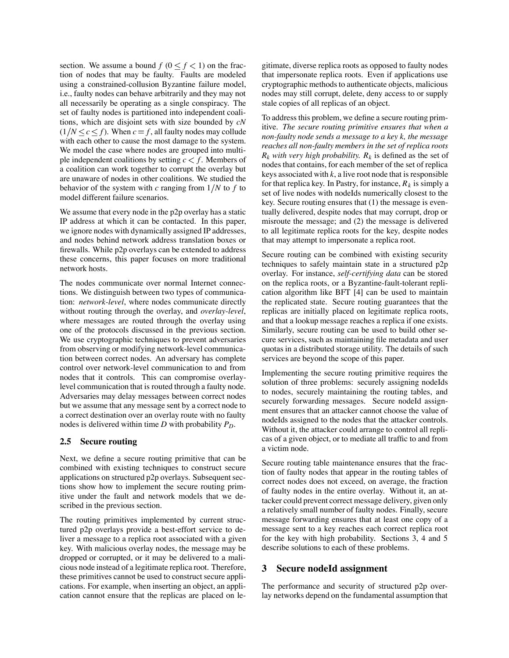section. We assume a bound  $f$  ( $0 \le f < 1$ ) on the fraction of nodes that may be faulty. Faults are modeled using a constrained-collusion Byzantine failure model, i.e., faulty nodes can behave arbitrarily and they may not all necessarily be operating as a single conspiracy. The set of faulty nodes is partitioned into independent coalitions, which are disjoint sets with size bounded by *cN*  $(1/N \le c \le f)$ . When  $c = f$ , all faulty nodes may collude with each other to cause the most damage to the system. We model the case where nodes are grouped into multiple independent coalitions by setting  $c < f$ . Members of a coalition can work together to corrupt the overlay but are unaware of nodes in other coalitions. We studied the behavior of the system with  $c$  ranging from  $1/N$  to  $f$  to model different failure scenarios.

We assume that every node in the p2p overlay has a static IP address at which it can be contacted. In this paper, we ignore nodes with dynamically assigned IP addresses, and nodes behind network address translation boxes or firewalls. While p2p overlays can be extended to address these concerns, this paper focuses on more traditional network hosts.

The nodes communicate over normal Internet connections. We distinguish between two types of communication: *network-level*, where nodes communicate directly without routing through the overlay, and *overlay-level*, where messages are routed through the overlay using one of the protocols discussed in the previous section. We use cryptographic techniques to prevent adversaries from observing or modifying network-level communication between correct nodes. An adversary has complete control over network-level communication to and from nodes that it controls. This can compromise overlaylevel communication that is routed through a faulty node. Adversaries may delay messages between correct nodes but we assume that any message sent by a correct node to a correct destination over an overlay route with no faulty nodes is delivered within time *D* with probability *PD*.

#### **2.5 Secure routing**

Next, we define a secure routing primitive that can be combined with existing techniques to construct secure applications on structured  $p2p$  overlays. Subsequent sections show how to implement the secure routing primitive under the fault and network models that we described in the previous section.

The routing primitives implemented by current structured p2p overlays provide a best-effort service to deliver a message to a replica root associated with a given key. With malicious overlay nodes, the message may be dropped or corrupted, or it may be delivered to a malicious node instead of a legitimate replica root. Therefore, these primitives cannot be used to construct secure applications. For example, when inserting an object, an application cannot ensure that the replicas are placed on legitimate, diverse replica roots as opposed to faulty nodes that impersonate replica roots. Even if applications use cryptographic methods to authenticate objects, malicious nodes may still corrupt, delete, deny access to or supply stale copies of all replicas of an object.

To address this problem, we define a secure routing primitive. *The secure routing primitive ensures that when a non-faulty node sends a message to a key k, the message reaches all non-faulty members in the set of replica roots*  $R_k$  *with very high probability.*  $R_k$  is defined as the set of nodes that contains, for each member of the set of replica keys associated with  $k$ , a live root node that is responsible for that replica key. In Pastry, for instance,  $R_k$  is simply a set of live nodes with nodeIds numerically closest to the key. Secure routing ensures that (1) the message is eventually delivered, despite nodes that may corrupt, drop or misroute the message; and (2) the message is delivered to all legitimate replica roots for the key, despite nodes that may attempt to impersonate a replica root.

Secure routing can be combined with existing security techniques to safely maintain state in a structured p2p overlay. For instance, *self-certifying data* can be stored on the replica roots, or a Byzantine-fault-tolerant replication algorithm like BFT [4] can be used to maintain the replicated state. Secure routing guarantees that the replicas are initially placed on legitimate replica roots, and that a lookup message reaches a replica if one exists. Similarly, secure routing can be used to build other secure services, such as maintaining file metadata and user quotas in a distributed storage utility. The details of such services are beyond the scope of this paper.

Implementing the secure routing primitive requires the solution of three problems: securely assigning nodeIds to nodes, securely maintaining the routing tables, and securely forwarding messages. Secure nodeId assignment ensures that an attacker cannot choose the value of nodeIds assigned to the nodes that the attacker controls. Without it, the attacker could arrange to control all replicas of a given object, or to mediate all traffic to and from a victim node.

Secure routing table maintenance ensures that the fraction of faulty nodes that appear in the routing tables of correct nodes does not exceed, on average, the fraction of faulty nodes in the entire overlay. Without it, an attacker could prevent correct message delivery, given only a relatively small number of faulty nodes. Finally, secure message forwarding ensures that at least one copy of a message sent to a key reaches each correct replica root for the key with high probability. Sections 3, 4 and 5 describe solutions to each of these problems.

#### **3 Secure nodeId assignment**

The performance and security of structured p2p overlay networks depend on the fundamental assumption that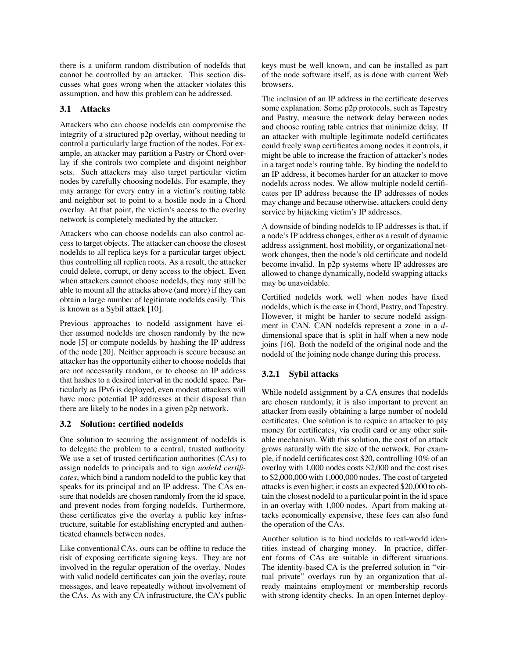there is a uniform random distribution of nodeIds that cannot be controlled by an attacker. This section discusses what goes wrong when the attacker violates this assumption, and how this problem can be addressed.

#### **3.1 Attacks**

Attackers who can choose nodeIds can compromise the integrity of a structured p2p overlay, without needing to control a particularly large fraction of the nodes. For example, an attacker may partition a Pastry or Chord overlay if she controls two complete and disjoint neighbor sets. Such attackers may also target particular victim nodes by carefully choosing nodeIds. For example, they may arrange for every entry in a victim's routing table and neighbor set to point to a hostile node in a Chord overlay. At that point, the victim's access to the overlay network is completely mediated by the attacker.

Attackers who can choose nodeIds can also control access to target objects. The attacker can choose the closest nodeIds to all replica keys for a particular target object, thus controlling all replica roots. As a result, the attacker could delete, corrupt, or deny access to the object. Even when attackers cannot choose nodeIds, they may still be able to mount all the attacks above (and more) if they can obtain a large number of legitimate nodeIds easily. This is known as a Sybil attack [10].

Previous approaches to nodeId assignment have either assumed nodeIds are chosen randomly by the new node [5] or compute nodeIds by hashing the IP address of the node [20]. Neither approach is secure because an attacker has the opportunity either to choose nodeIds that are not necessarily random, or to choose an IP address that hashes to a desired interval in the nodeId space. Particularly as IPv6 is deployed, even modest attackers will have more potential IP addresses at their disposal than there are likely to be nodes in a given p2p network.

#### **3.2 Solution: certified nodeIds**

One solution to securing the assignment of nodeIds is to delegate the problem to a central, trusted authority. We use a set of trusted certification authorities (CAs) to assign nodeIds to principals and to sign *nodeId certificates*, which bind a random nodeId to the public key that speaks for its principal and an IP address. The CAs ensure that nodeIds are chosen randomly from the id space, and prevent nodes from forging nodeIds. Furthermore, these certificates give the overlay a public key infrastructure, suitable for establishing encrypted and authenticated channels between nodes.

Like conventional CAs, ours can be offline to reduce the risk of exposing certificate signing keys. They are not involved in the regular operation of the overlay. Nodes with valid nodeId certificates can join the overlay, route messages, and leave repeatedly without involvement of the CAs. As with any CA infrastructure, the CA's public keys must be well known, and can be installed as part of the node software itself, as is done with current Web browsers.

The inclusion of an IP address in the certificate deserves some explanation. Some p2p protocols, such as Tapestry and Pastry, measure the network delay between nodes and choose routing table entries that minimize delay. If an attacker with multiple legitimate nodeId certificates could freely swap certificates among nodes it controls, it might be able to increase the fraction of attacker's nodes in a target node's routing table. By binding the nodeId to an IP address, it becomes harder for an attacker to move nodeIds across nodes. We allow multiple nodeId certificates per IP address because the IP addresses of nodes may change and because otherwise, attackers could deny service by hijacking victim's IP addresses.

A downside of binding nodeIds to IP addresses is that, if a node's IP address changes, either as a result of dynamic address assignment, host mobility, or organizational network changes, then the node's old certificate and nodeId become invalid. In p2p systems where IP addresses are allowed to change dynamically, nodeId swapping attacks may be unavoidable.

Certified nodeIds work well when nodes have fixed nodeIds, which is the case in Chord, Pastry, and Tapestry. However, it might be harder to secure nodeId assignment in CAN. CAN nodeIds represent a zone in a *d*dimensional space that is split in half when a new node joins [16]. Both the nodeId of the original node and the nodeId of the joining node change during this process.

#### **3.2.1 Sybil attacks**

While nodeId assignment by a CA ensures that nodeIds are chosen randomly, it is also important to prevent an attacker from easily obtaining a large number of nodeId certificates. One solution is to require an attacker to pay money for certificates, via credit card or any other suitable mechanism. With this solution, the cost of an attack grows naturally with the size of the network. For example, if nodeId certificates cost \$20, controlling 10% of an overlay with 1,000 nodes costs \$2,000 and the cost rises to \$2,000,000 with 1,000,000 nodes. The cost of targeted attacks is even higher; it costs an expected \$20,000 to obtain the closest nodeId to a particular point in the id space in an overlay with 1,000 nodes. Apart from making attacks economically expensive, these fees can also fund the operation of the CAs.

Another solution is to bind nodeIds to real-world identities instead of charging money. In practice, different forms of CAs are suitable in different situations. The identity-based CA is the preferred solution in "virtual private" overlays run by an organization that already maintains employment or membership records with strong identity checks. In an open Internet deploy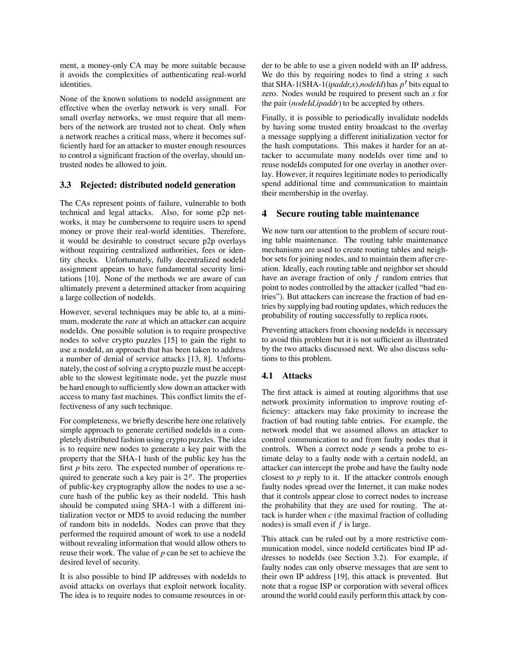ment, a money-only CA may be more suitable because it avoids the complexities of authenticating real-world identities.

None of the known solutions to nodeId assignment are effective when the overlay network is very small. For small overlay networks, we must require that all members of the network are trusted not to cheat. Only when a network reaches a critical mass, where it becomes sufficiently hard for an attacker to muster enough resources to control a significant fraction of the overlay, should untrusted nodes be allowed to join.

#### **3.3 Rejected: distributed nodeId generation**

The CAs represent points of failure, vulnerable to both technical and legal attacks. Also, for some p2p networks, it may be cumbersome to require users to spend money or prove their real-world identities. Therefore, it would be desirable to construct secure p2p overlays without requiring centralized authorities, fees or identity checks. Unfortunately, fully decentralized nodeId assignment appears to have fundamental security limitations [10]. None of the methods we are aware of can ultimately prevent a determined attacker from acquiring a large collection of nodeIds.

However, several techniques may be able to, at a minimum, moderate the *rate* at which an attacker can acquire nodeIds. One possible solution is to require prospective nodes to solve crypto puzzles [15] to gain the right to use a nodeId, an approach that has been taken to address a number of denial of service attacks [13, 8]. Unfortunately, the cost of solving a crypto puzzle must be acceptable to the slowest legitimate node, yet the puzzle must be hard enough to sufficiently slow down an attacker with access to many fast machines. This conflict limits the effectiveness of any such technique.

For completeness, we briefly describe here one relatively simple approach to generate certified nodeIds in a completely distributed fashion using crypto puzzles. The idea is to require new nodes to generate a key pair with the property that the SHA-1 hash of the public key has the first *p* bits zero. The expected number of operations required to generate such a key pair is  $2<sup>p</sup>$ . The properties of public-key cryptography allow the nodes to use a secure hash of the public key as their nodeId. This hash should be computed using SHA-1 with a different initialization vector or MD5 to avoid reducing the number of random bits in nodeIds. Nodes can prove that they performed the required amount of work to use a nodeId without revealing information that would allow others to reuse their work. The value of *p* can be set to achieve the desired level of security.

It is also possible to bind IP addresses with nodeIds to avoid attacks on overlays that exploit network locality. The idea is to require nodes to consume resources in order to be able to use a given nodeId with an IP address. We do this by requiring nodes to find a string *x* such that SHA-1(SHA-1(*ipaddr,x*),*nodeId*) has *p*<sup>*'*</sup> bits equal to zero. Nodes would be required to present such an *x* for the pair (*nodeId,ipaddr*) to be accepted by others.

Finally, it is possible to periodically invalidate nodeIds by having some trusted entity broadcast to the overlay a message supplying a different initialization vector for the hash computations. This makes it harder for an attacker to accumulate many nodeIds over time and to reuse nodeIds computed for one overlay in another overlay. However, it requires legitimate nodes to periodically spend additional time and communication to maintain their membership in the overlay.

#### **4 Secure routing table maintenance**

We now turn our attention to the problem of secure routing table maintenance. The routing table maintenance mechanisms are used to create routing tables and neighbor sets for joining nodes, and to maintain them after creation. Ideally, each routing table and neighbor set should have an average fraction of only *f* random entries that point to nodes controlled by the attacker (called "bad entries"). But attackers can increase the fraction of bad entries by supplying bad routing updates, which reduces the probability of routing successfully to replica roots.

Preventing attackers from choosing nodeIds is necessary to avoid this problem but it is not sufficient as illustrated by the two attacks discussed next. We also discuss solutions to this problem.

#### **4.1 Attacks**

The first attack is aimed at routing algorithms that use network proximity information to improve routing efficiency: attackers may fake proximity to increase the fraction of bad routing table entries. For example, the network model that we assumed allows an attacker to control communication to and from faulty nodes that it controls. When a correct node *p* sends a probe to estimate delay to a faulty node with a certain nodeId, an attacker can intercept the probe and have the faulty node closest to *p* reply to it. If the attacker controls enough faulty nodes spread over the Internet, it can make nodes that it controls appear close to correct nodes to increase the probability that they are used for routing. The attack is harder when *c* (the maximal fraction of colluding nodes) is small even if *f* is large.

This attack can be ruled out by a more restrictive communication model, since nodeId certificates bind IP addresses to nodeIds (see Section 3.2). For example, if faulty nodes can only observe messages that are sent to their own IP address [19], this attack is prevented. But note that a rogue ISP or corporation with several offices around the world could easily perform this attack by con-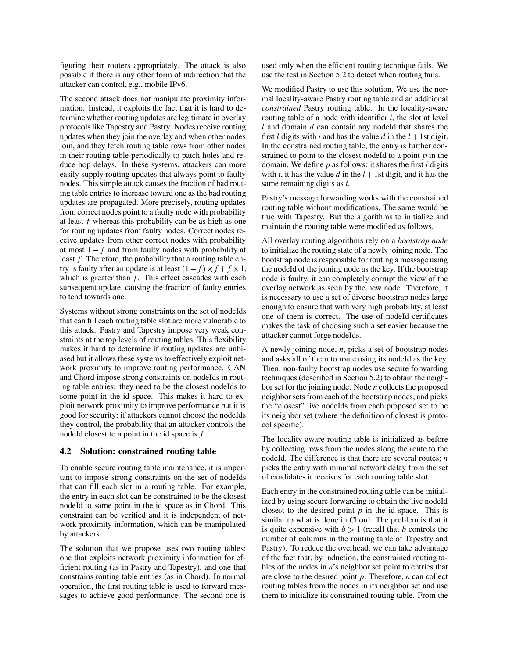figuring their routers appropriately. The attack is also possible if there is any other form of indirection that the attacker can control, e.g., mobile IPv6.

The second attack does not manipulate proximity information. Instead, it exploits the fact that it is hard to determine whether routing updates are legitimate in overlay protocols like Tapestry and Pastry. Nodes receive routing updates when they join the overlay and when other nodes join, and they fetch routing table rows from other nodes in their routing table periodically to patch holes and reduce hop delays. In these systems, attackers can more easily supply routing updates that always point to faulty nodes. This simple attack causes the fraction of bad routing table entries to increase toward one as the bad routing updates are propagated. More precisely, routing updates from correct nodes point to a faulty node with probability at least *f* whereas this probability can be as high as one for routing updates from faulty nodes. Correct nodes receive updates from other correct nodes with probability at most  $1 - f$  and from faulty nodes with probability at least *f*. Therefore, the probability that a routing table entry is faulty after an update is at least  $(1 - f) \times f + f \times 1$ , which is greater than *f*. This effect cascades with each subsequent update, causing the fraction of faulty entries to tend towards one.

Systems without strong constraints on the set of nodeIds that can fill each routing table slot are more vulnerable to this attack. Pastry and Tapestry impose very weak constraints at the top levels of routing tables. This flexibility makes it hard to determine if routing updates are unbiased but it allows these systems to effectively exploit network proximity to improve routing performance. CAN and Chord impose strong constraints on nodeIds in routing table entries: they need to be the closest nodeIds to some point in the id space. This makes it hard to exploit network proximity to improve performance but it is good for security; if attackers cannot choose the nodeIds they control, the probability that an attacker controls the nodeId closest to a point in the id space is *f* .

#### **4.2 Solution: constrained routing table**

To enable secure routing table maintenance, it is important to impose strong constraints on the set of nodeIds that can fill each slot in a routing table. For example, the entry in each slot can be constrained to be the closest nodeId to some point in the id space as in Chord. This constraint can be verified and it is independent of network proximity information, which can be manipulated by attackers.

The solution that we propose uses two routing tables: one that exploits network proximity information for efficient routing (as in Pastry and Tapestry), and one that constrains routing table entries (as in Chord). In normal operation, the first routing table is used to forward messages to achieve good performance. The second one is used only when the efficient routing technique fails. We use the test in Section 5.2 to detect when routing fails.

We modified Pastry to use this solution. We use the normal locality-aware Pastry routing table and an additional *constrained* Pastry routing table. In the locality-aware routing table of a node with identifier *i*, the slot at level *l* and domain *d* can contain any nodeId that shares the first *l* digits with *i* and has the value *d* in the  $l + 1$ st digit. In the constrained routing table, the entry is further constrained to point to the closest nodeId to a point *p* in the domain. We define *p* as follows: it shares the first *l* digits with *i*, it has the value *d* in the  $l + 1$ st digit, and it has the same remaining digits as *i*.

Pastry's message forwarding works with the constrained routing table without modifications. The same would be true with Tapestry. But the algorithms to initialize and maintain the routing table were modified as follows.

All overlay routing algorithms rely on a *bootstrap node* to initialize the routing state of a newly joining node. The bootstrap node is responsible for routing a message using the nodeId of the joining node as the key. If the bootstrap node is faulty, it can completely corrupt the view of the overlay network as seen by the new node. Therefore, it is necessary to use a set of diverse bootstrap nodes large enough to ensure that with very high probability, at least one of them is correct. The use of nodeId certificates makes the task of choosing such a set easier because the attacker cannot forge nodeIds.

A newly joining node, *n*, picks a set of bootstrap nodes and asks all of them to route using its nodeId as the key. Then, non-faulty bootstrap nodes use secure forwarding techniques (described in Section 5.2) to obtain the neighbor set for the joining node. Node *n* collects the proposed neighborsets from each of the bootstrap nodes, and picks the "closest" live nodeIds from each proposed set to be its neighbor set (where the definition of closest is protocol specific).

The locality-aware routing table is initialized as before by collecting rows from the nodes along the route to the nodeId. The difference is that there are several routes; *n* picks the entry with minimal network delay from the set of candidates it receives for each routing table slot.

Each entry in the constrained routing table can be initialized by using secure forwarding to obtain the live nodeId closest to the desired point  $p$  in the id space. This is similar to what is done in Chord. The problem is that it is quite expensive with  $b > 1$  (recall that *b* controls the number of columns in the routing table of Tapestry and Pastry). To reduce the overhead, we can take advantage of the fact that, by induction, the constrained routing tables of the nodes in *n*'s neighbor set point to entries that are close to the desired point *p*. Therefore, *n* can collect routing tables from the nodes in its neighbor set and use them to initialize its constrained routing table. From the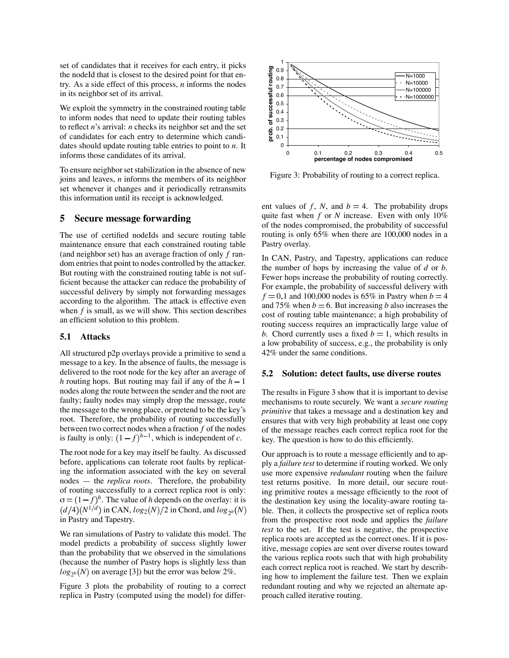set of candidates that it receives for each entry, it picks the nodeId that is closest to the desired point for that entry. As a side effect of this process, *n* informs the nodes in its neighbor set of its arrival.

We exploit the symmetry in the constrained routing table to inform nodes that need to update their routing tables to reflect *n*'s arrival: *n* checks its neighbor set and the set of candidates for each entry to determine which candidates should update routing table entries to point to *n*. It informs those candidates of its arrival.

To ensure neighbor set stabilization in the absence of new joins and leaves, *n* informs the members of its neighbor set whenever it changes and it periodically retransmits this information until its receipt is acknowledged.

#### **5 Secure message forwarding**

The use of certified nodeIds and secure routing table maintenance ensure that each constrained routing table (and neighbor set) has an average fraction of only *f* random entries that point to nodes controlled by the attacker. But routing with the constrained routing table is not sufficient because the attacker can reduce the probability of successful delivery by simply not forwarding messages according to the algorithm. The attack is effective even when  $f$  is small, as we will show. This section describes an efficient solution to this problem.

#### **5.1 Attacks**

All structured p2p overlays provide a primitive to send a message to a key. In the absence of faults, the message is delivered to the root node for the key after an average of *h* routing hops. But routing may fail if any of the  $h - 1$ nodes along the route between the sender and the root are faulty; faulty nodes may simply drop the message, route the message to the wrong place, or pretend to be the key's root. Therefore, the probability of routing successfully between two correct nodes when a fraction *f* of the nodes is faulty is only:  $(1 - f)^{h-1}$ , which is independent of *c*.

The root node for a key may itself be faulty. As discussed before, applications can tolerate root faults by replicating the information associated with the key on several nodes — the *replica roots*. Therefore, the probability of routing successfully to a correct replica root is only:  $\sigma = (1 - f)^h$ . The value of *h* depends on the overlay: it is  $(d/4)(N^{1/d})$  in CAN,  $log_2(N)/2$  in Chord, and  $log_{2b}(N)$ in Pastry and Tapestry.

We ran simulations of Pastry to validate this model. The model predicts a probability of success slightly lower than the probability that we observed in the simulations (because the number of Pastry hops is slightly less than  $log_{2b}(N)$  on average [3]) but the error was below 2%.

Figure 3 plots the probability of routing to a correct replica in Pastry (computed using the model) for differ-



Figure 3: Probability of routing to a correct replica.

ent values of  $f$ ,  $N$ , and  $b = 4$ . The probability drops quite fast when *f* or *N* increase. Even with only 10% of the nodes compromised, the probability of successful routing is only 65% when there are 100,000 nodes in a Pastry overlay.

In CAN, Pastry, and Tapestry, applications can reduce the number of hops by increasing the value of *d* or *b*. Fewer hops increase the probability of routing correctly. For example, the probability of successful delivery with  $f = 0.1$  and 100,000 nodes is 65% in Pastry when  $b = 4$ and 75% when  $b = 6$ . But increasing *b* also increases the cost of routing table maintenance; a high probability of routing success requires an impractically large value of *b*. Chord currently uses a fixed  $b = 1$ , which results in a low probability of success, e.g., the probability is only 42% under the same conditions.

#### **5.2 Solution: detect faults, use diverse routes**

The results in Figure 3 show that it is important to devise mechanisms to route securely. We want a *secure routing primitive* that takes a message and a destination key and ensures that with very high probability at least one copy of the message reaches each correct replica root for the key. The question is how to do this efficiently.

Our approach is to route a message efficiently and to apply a *failure test* to determine if routing worked. We only use more expensive *redundant* routing when the failure test returns positive. In more detail, our secure routing primitive routes a message efficiently to the root of the destination key using the locality-aware routing table. Then, it collects the prospective set of replica roots from the prospective root node and applies the *failure test* to the set. If the test is negative, the prospective replica roots are accepted as the correct ones. If it is positive, message copies are sent over diverse routes toward the various replica roots such that with high probability each correct replica root is reached. We start by describing how to implement the failure test. Then we explain redundant routing and why we rejected an alternate approach called iterative routing.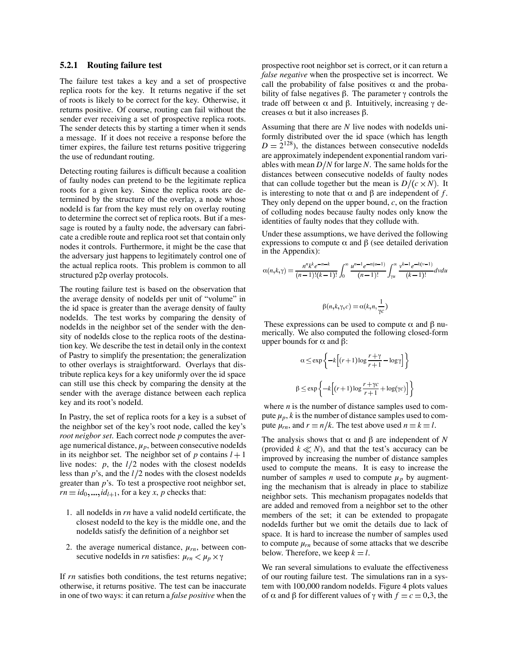#### **5.2.1 Routing failure test**

The failure test takes a key and a set of prospective replica roots for the key. It returns negative if the set of roots is likely to be correct for the key. Otherwise, it returns positive. Of course, routing can fail without the sender ever receiving a set of prospective replica roots. The sender detects this by starting a timer when it sends a message. If it does not receive a response before the timer expires, the failure test returns positive triggering the use of redundant routing.

Detecting routing failures is difficult because a coalition of faulty nodes can pretend to be the legitimate replica roots for a given key. Since the replica roots are determined by the structure of the overlay, a node whose nodeId is far from the key must rely on overlay routing to determine the correct set of replica roots. But if a message is routed by a faulty node, the adversary can fabricate a credible route and replica root set that contain only nodes it controls. Furthermore, it might be the case that the adversary just happens to legitimately control one of the actual replica roots. This problem is common to all structured p2p overlay protocols.

The routing failure test is based on the observation that the average density of nodeIds per unit of "volume" in the id space is greater than the average density of faulty nodeIds. The test works by comparing the density of nodeIds in the neighbor set of the sender with the density of nodeIds close to the replica roots of the destination key. We describe the test in detail only in the context of Pastry to simplify the presentation; the generalization to other overlays is straightforward. Overlays that distribute replica keys for a key uniformly over the id space can still use this check by comparing the density at the sender with the average distance between each replica key and its root's nodeId.

In Pastry, the set of replica roots for a key is a subset of the neighbor set of the key's root node, called the key's *root neigbor set*. Each correct node *p* computes the average numerical distance,  $\mu_p$ , between consecutive nodeIds in its neighbor set. The neighbor set of  $p$  contains  $l + 1$ live nodes:  $p$ , the  $l/2$  nodes with the closest nodeIds less than  $p$ 's, and the  $l/2$  nodes with the closest nodeIds greater than *p*'s. To test a prospective root neighbor set,  $rn = id_0, ..., id_{l+1}$ , for a key *x*, *p* checks that:

- 1. all nodeIds in *rn* have a valid nodeId certificate, the closest nodeId to the key is the middle one, and the nodeIds satisfy the definition of a neighbor set
- 2. the average numerical distance,  $\mu_{rn}$ , between consecutive nodeIds in *rn* satisfies:  $\mu_{rn} < \mu_p \times \gamma$

If *rn* satisfies both conditions, the test returns negative; otherwise, it returns positive. The test can be inaccurate in one of two ways: it can return a *false positive* when the

prospective root neighbor set is correct, or it can return a *false negative* when the prospective set is incorrect. We call the probability of false positives  $\alpha$  and the probability of false negatives  $\beta$ . The parameter  $\gamma$  controls the trade off between  $\alpha$  and  $\beta$ . Intuitively, increasing  $\gamma$  decreases  $\alpha$  but it also increases  $\beta$ .

Assuming that there are *N* live nodes with nodeIds uniformly distributed over the id space (which has length  $D = 2^{128}$ , the distances between consecutive nodeIds are approximately independent exponential random variables with mean  $D/N$  for large  $N$ . The same holds for the distances between consecutive nodeIds of faulty nodes that can collude together but the mean is  $D/(c \times N)$ . It is interesting to note that  $\alpha$  and  $\beta$  are independent of *f*. They only depend on the upper bound, *c*, on the fraction of colluding nodes because faulty nodes only know the identities of faulty nodes that they collude with.

Under these assumptions, we have derived the following expressions to compute  $\alpha$  and  $\beta$  (see detailed derivation in the Appendix):

$$
\alpha(n,k,\gamma) = \frac{n^n k^k e^{-n-k}}{(n-1)!(k-1)!} \int_0^\infty \frac{u^{n-1} e^{-n(u-1)}}{(n-1)!} \int_{\gamma u}^\infty \frac{v^{k-1} e^{-k(v-1)}}{(k-1)!} dv du
$$

$$
\beta(n,k,\gamma,c) = \alpha(k,n,\frac{1}{\gamma c})
$$

These expressions can be used to compute  $\alpha$  and  $\beta$  numerically. We also computed the following closed-form upper bounds for  $\alpha$  and  $\beta$ :

$$
\alpha \le \exp\left\{-k\Big[(r+1)\log\frac{r+\gamma}{r+1} - \log\gamma\Big]\right\}
$$

$$
\beta \le \exp\left\{-k\Big[(r+1)\log\frac{r+\gamma c}{r+1} + \log(\gamma c)\Big]\right\}
$$

where  $n$  is the number of distance samples used to compute  $\mu_p$ , *k* is the number of distance samples used to compute  $\mu_{rn}$ , and  $r = n/k$ . The test above used  $n = k = l$ .

The analysis shows that  $\alpha$  and  $\beta$  are independent of *N* (provided  $k \ll N$ ), and that the test's accuracy can be improved by increasing the number of distance samples used to compute the means. It is easy to increase the number of samples *n* used to compute  $\mu_p$  by augmenting the mechanism that is already in place to stabilize neighbor sets. This mechanism propagates nodeIds that are added and removed from a neighbor set to the other members of the set; it can be extended to propagate nodeIds further but we omit the details due to lack of space. It is hard to increase the number of samples used to compute  $\mu_{rn}$  because of some attacks that we describe below. Therefore, we keep  $k = l$ .

We ran several simulations to evaluate the effectiveness of our routing failure test. The simulations ran in a system with 100,000 random nodeIds. Figure 4 plots values of  $\alpha$  and  $\beta$  for different values of  $\gamma$  with  $f = c = 0.3$ , the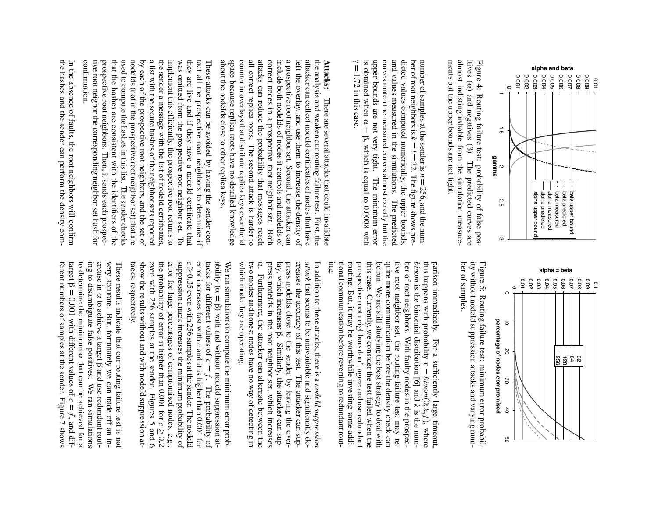

Figure 4: Routing failure test: probability <u>ຊ</u> false positives  $(\alpha)$  and negatives (\$). The predicted curves are almost indistinguishable from the simulation measurements but the upper bounds are not tight.

number ofsamples  $\overline{a}$ the sender is *n* 256, and the number q root neighborsis *k l* 32. The figure shows predicted values computed numerically, the upper bounds, and values measured in the simulations. The predicted curves match the<br>S measured curves almost exactly but the upper bounds are not very tight. The minimum error is obtained when  $\boldsymbol{\mathsf{\Omega}}$ \$, which is equal to 0 0008 with -2 1 72 in this case.

**Attacks:** There are several attacks that could invalidate the analysis and weaken our routing failure test. First, the attacker can collect nodeId certificates <u>ຊ</u> nodesthat have left the<br>S overlay, and use them to increase the density <u>ຊ</u> a prospective root neighbor set. Second, the attacker can include both nodeIds <u>ຊ</u> nodes it controls and nodeIds q correct nodes in a prospective root neighbor set. Both attacks can reduce the<br>S probability that messages reach  $\stackrel{\scriptscriptstyle \omega}{=}$ correct replica roots. The second attack is harder to counter in overlaysthat distribute replica keys over the id space because replica roots have no detailed knowledge about the nodeIds close to other replica keys.

confirmation. confirmation. tive prospective that used nodeIds(not  $\widetilde{\mathbf{d}}$ a list the implement was they tact These each sender a message root the omitted  $\stackrel{\scriptscriptstyle{\mathsf{E}}}{=}$ to are with attacks compute hashes q the neigbor live the<br>S the this root prospective in from secure and can prospective the efficiently, are the<br>S neighbors. the  $\Xi$ the<br>S  $\Delta$ prospective consistent hashesin corresponding hashes they with avoided prospective root have the root the<br>S Then, <u>ຊ</u> thislist. neighbors prospective  $\mathbf{\hat{z}}$ with the<br>S root list neighbors, a having nodeId it neighborsets <u>ຊ</u> root neighborset neighborset) the sends nodeId The neighbor identifiers to the certificate root each sender and determine sender certificates, the returns prospecreported hash that set. checks q set conthat To for the are <u>ຊ</u> to  $\Xi_i$ 

 $\Xi$ the absence q faults, the root neighbors will confirm the hashes and the sender can perform the density com-



Figure بي Routing failure test: minimum error probability without nodeId suppression attacks and varying number ቧ<br>ት samples.

parison immediately. immediately. For a sufficiently large timeout, this happens with probability & *binom* 0;*k f*), where *binom* is the binomial distribution [6] and *k* is the number <u>ຊ</u> root neighbors. With faulty nodes in the prospective root neighbor set, the routing failure test may require more communication before the density check can  $\rm s$ run. ≸ are still studying the best strategy to deal with this case. Currently, we consider the<br>S test failed when the<br>S prospective root neighbors don't agree and use redundant routing. But, it may e. worthwhile investing some additional communication before reverting to redundant routing.

 $\Xi$ addition to these attacks, there is a *nodeId suppression attack* that seems to e. unavoidable and significantly decreases the<br>S accuracy q this test. The attacker can suppress nodeIds close to the sender  $\widetilde{\mathbf{d}}$ leaving the overlay, which increases ., Similarly, the attacker can suppress nodeIds in the root neighbor set, which increases #. Furthermore, the<br>S attacker can alternate between the two modes and honest nodes have no way q detecting in. which mode they are operating.

We ran simulations to compute the minimum error probability ( $\alpha$ \$) with and without nodeId suppression attacks for different values of *c f* . The probability q error increases fast with *c* and it is higher than 0 001 for *c* 0 99 even with 256 samples  $\overline{\mathbf{a}}$ the<br>S sender. The nodeId suppression attack increases the<br>S minimum probability <u>ຊ</u> error for large percentages q compromised nodes, e.g., the probability <u>ຊ</u> error is higher than 0.001 for *c* 0<br>२ even with 256 samples  $\Xi$ the<br>S sender. Figures Un and σ١ show the results without and with nodeId suppression م<br>7 tacks, respectively. respectively.

These results indicate that our routing failure test is not very accurate. But, fortunately we can trade off an increase in.  $\mathbf \Omega$ to achieve a target  $\beta$ and use redundant routing to disambiguate false positives. ≶ ran simulations to determine the<br>S minimum  $\mathbf{\Omega}$ that can ଟ<br> achieved for a target  $\beta$ 001<br>1<br>001 with different values of *c f* , and different numbers <u>ር</u> samples  $\frac{2}{3}$ the sender. Figure 7 shows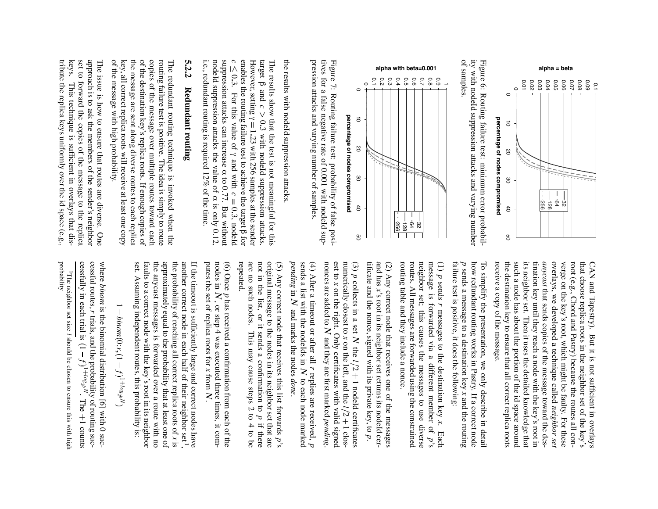

Figure ية Routing failure test: minimum error probability with nodeId suppression attacks and varying number q samples.



Figure بر: Routing failure test: probability q false positives for a false negative rate <u>ር</u> 0.001 with nodeId suppression attacks and varying number <u>ຊ</u> samples.

### the results with nodeId suppression attacks.

The results show that the<br>S test is not meaningful for this target ರಾ and *c* ن<br>س with nodeId suppression attacks. However, setting ~  $\overline{\phantom{0}}$ 23 with 256 samples  $\overline{\vphantom{a}}^2$ the<br>S sender enables the routing failure test to achieve the<br>S target  $\beta$ for *c*  $\circ$ ب For this value of " and with *c*  $\circ$ ب. nodeId suppression attacks can increase  $^{\circ}$ to 0.77. But without nodeId suppression attacks the value <u>ຊ</u>  $\approx$ is only 0.12, i.e., redundant routing is required 12% q the time.

# **5.2.2 Redundant Redundant routing**

The redundant routing technique is invoked when the routing failure test is positive. The idea is simply to route copies <u>ຊ</u> the message over multiple routes toward each q the destination key's replica roots.  $\Xi$ enough copies q the message are sent along diverse routes to each replica key,  $\stackrel{\scriptscriptstyle \omega}{=}$ correct replica roots will receive  $\Xi$ least one copy q the message with high probability.

The issue is how to ensure that routes are diverse. One approach is to ask the members <u>ር</u> the sender's neighbor set  $\Xi$ forward the copies q the<br>S message to the replica keys. This technique is sufficient in. overlays  $\thinspace \tan$ distribute the replica keys uniformly over the id space (e.g.,

> CAN and Tapestry). But it is not sufficient in. overlays that choose replica roots in the neighbor set q the key's root (e.g., Chord and Pastry) because the routes  $\stackrel{\scriptscriptstyle \omega}{=}$ converge on the key's root, which might  $^{\circ}$ faulty. For these overlays, we developed a technique called *neighbor set anycast*  $\thinspace \text{d}$ sends copies q the message toward the<br>S destination key until they reach a node with the key's root in its neighborset. Then it uses the detailed knowledge that such a node has about the portion q the id space around the destination key to ensure that  $\stackrel{\scriptscriptstyle \omega}{=}$ correct replica roots receive a copy <u>ຊ</u> the<br>S message.

To simplify the presentation, we only describe in. detail how redundant routing works in Pastry. If a correct node *p* sends a message to a destination key *x* and the routing failure test is positive, it does the following:

<u>ප</u> *p* sends *r* messages to the destination key *x*. Each message is forwarded via a different member <u>ຊ</u> *p*'s neighbor set; this causes the<br>S messages to use diverse routes.  $\Xi$ messages a<br>G forwarded using the<br>S constrained routing table and they include a nonce.

 $\odot$ Any correct node that receives one <u>ຊ</u> the messages and has *x*'s root in its neighbor set returns its nodeId certificate and the nonce, signed with its private key, to *p*.

 $\odot$ *p* collects in a set N the *l*  $\mathcal Q$  $\overline{\phantom{0}}$ nodeId certificates numerically closest to *x* on the left, and the *l*  $\mathcal Q$ 1 closest to *x* on the<br>S right. Only certificates with valid signed nonces are added to N and they are first marked *pending*.

(4) After a timeout or after all *r* replies are received, *p* sends a list with the<br>S nodeIds in N to each node marked *pending* in. N and marks the nodes *done*.

(5) Any correct node that receives this list forwards *p*'s original message to the nodes in its neighbor set that are not in. the list, or it sends a confirmation to *p*  $\Xi$ : there are no such nodes. This may cause steps  $\mathcal Q$ to 4 to ଟ<br>ଜ repeated.

(6) Once *p* has received a confirmation from each <u>ຊ</u> the nodes in  $N$  , or step 4 was executed three times, it computes the<br>S set q replica roots for *x* from  $\gtrsim$ 

 $\Xi$ the timeout is sufficiently large and correct nodes have another correct node in each half <u>ຊ</u> their neighbor  $\operatorname{set}^1,$ the probability <u>ຊ</u> reaching  $\stackrel{\scriptscriptstyle \omega}{=}$ correct replica roots of *x* is approximately equal to the probability that  $\overline{\mathbf{a}}$ least one q the anycast messages is forwarded over a route with no faults to a correct node with the key's root in. its neighbor set. Assuming independent routes, this probability is:

$$
1 - binom(0; r, (1 - f)^{1 + log_2 b^N})
$$

where *binom* is the binomial distribution [6] with  $0$ successful routes, *r* trials, and the probability <u>ຊ</u> routing successfully in each trial is  $\overline{\phantom{0}}$ *f* 1  $\log_{2^b} N$  . The  $\overline{\phantom{0}}$ . The  $+1$  counts

<sup>1</sup>The neighbor set size *l* should be chosen  $\Xi$ ensure this with high probability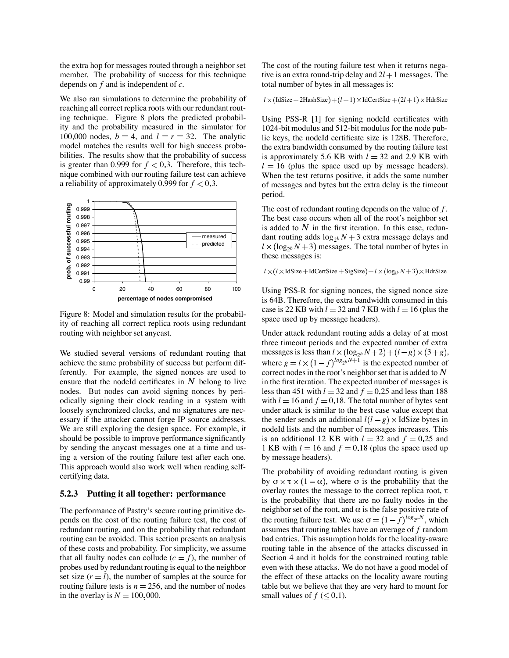the extra hop for messages routed through a neighbor set member. The probability of success for this technique depends on *f* and is independent of *c*.

We also ran simulations to determine the probability of reaching all correct replica roots with our redundant routing technique. Figure 8 plots the predicted probability and the probability measured in the simulator for 100,000 nodes,  $b = 4$ , and  $l = r = 32$ . The analytic model matches the results well for high success probabilities. The results show that the probability of success is greater than 0.999 for  $f < 0.3$ . Therefore, this technique combined with our routing failure test can achieve a reliability of approximately 0.999 for  $f < 0.3$ .



Figure 8: Model and simulation results for the probability of reaching all correct replica roots using redundant routing with neighbor set anycast.

We studied several versions of redundant routing that achieve the same probability of success but perform differently. For example, the signed nonces are used to ensure that the nodeId certificates in  $N$  belong to live nodes. But nodes can avoid signing nonces by periodically signing their clock reading in a system with loosely synchronized clocks, and no signatures are necessary if the attacker cannot forge IP source addresses. We are still exploring the design space. For example, it should be possible to improve performance significantly by sending the anycast messages one at a time and using a version of the routing failure test after each one. This approach would also work well when reading selfcertifying data.

#### **5.2.3 Putting it all together: performance**

The performance of Pastry's secure routing primitive depends on the cost of the routing failure test, the cost of redundant routing, and on the probability that redundant routing can be avoided. This section presents an analysis of these costs and probability. For simplicity, we assume that all faulty nodes can collude  $(c = f)$ , the number of probes used by redundant routing is equal to the neighbor set size  $(r = l)$ , the number of samples at the source for routing failure tests is  $n = 256$ , and the number of nodes in the overlay is  $N = 100,000$ .

The cost of the routing failure test when it returns negative is an extra round-trip delay and  $2l + 1$  messages. The total number of bytes in all messages is:

 $l \times (IdSize + 2HashSize) + (l + 1) \times IdCertSize + (2l + 1) \times HdrSize$ 

Using PSS-R [1] for signing nodeId certificates with 1024-bit modulus and 512-bit modulus for the node public keys, the nodeId certificate size is 128B. Therefore, the extra bandwidth consumed by the routing failure test is approximately 5.6 KB with  $l = 32$  and 2.9 KB with  $l = 16$  (plus the space used up by message headers). When the test returns positive, it adds the same number of messages and bytes but the extra delay is the timeout period.

The cost of redundant routing depends on the value of *f* . The best case occurs when all of the root's neighbor set is added to  $N$  in the first iteration. In this case, redundant routing adds  $\log_{2^b} N + 3$  extra message delays and  $l \times (log_{2b} N + 3)$  messages. The total number of bytes in these messages is:

$$
l \times (l \times \text{IdSize} + \text{IdCertSize} + \text{SigSize}) + l \times (\log_2 h N + 3) \times \text{HdrSize}
$$

Using PSS-R for signing nonces, the signed nonce size is 64B. Therefore, the extra bandwidth consumed in this case is 22 KB with  $l = 32$  and 7 KB with  $l = 16$  (plus the space used up by message headers).

Under attack redundant routing adds a delay of at most three timeout periods and the expected number of extra messages is less than  $l \times (\log_{2^b} N + 2) + (l - g) \times (3 + g)$ , where  $g = l \times (1 - f)^{\log_2 b^{N+1}}$  is the expected number of correct nodes in the root's neighbor set that is added to  $N$ in the first iteration. The expected number of messages is less than 451 with  $l = 32$  and  $f = 0.25$  and less than 188 with  $l = 16$  and  $f = 0.18$ . The total number of bytes sent under attack is similar to the best case value except that the sender sends an additional  $l(l - g) \times$  IdSize bytes in nodeId lists and the number of messages increases. This is an additional 12 KB with  $l = 32$  and  $f = 0.25$  and 1 KB with  $l = 16$  and  $f = 0.18$  (plus the space used up by message headers).

The probability of avoiding redundant routing is given by  $\sigma \times \tau \times (1 - \alpha)$ , where  $\sigma$  is the probability that the overlay routes the message to the correct replica root,  $\tau$ is the probability that there are no faulty nodes in the neighbor set of the root, and  $\alpha$  is the false positive rate of the routing failure test. We use  $\sigma = (1 - f)^{\log_2 b^N}$ , which assumes that routing tables have an average of *f* random bad entries. This assumption holds for the locality-aware routing table in the absence of the attacks discussed in Section 4 and it holds for the constrained routing table even with these attacks. We do not have a good model of the effect of these attacks on the locality aware routing table but we believe that they are very hard to mount for small values of  $f \leq 0.1$ ).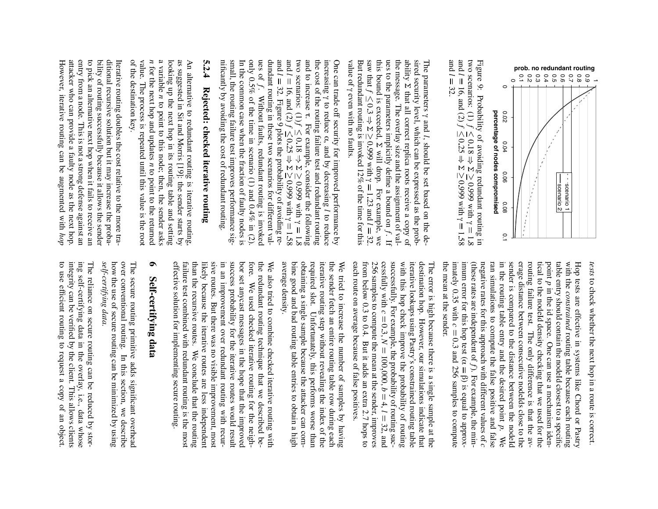

Figure 9: Probability <u>ຊ</u> avoiding redundant routing in. two scenarios: (1) *f* 0  $\approx$ M 0 999 with  $\gamma$  $\frac{1}{8}$ and *l* 16, and (2) *f* 0 25 м 0 999 with  $\gamma$  $\overline{\phantom{0}}$ 58 and *l* 32.

The parameters " and *l*, should ଟ<br>ଜ set based on the desired security level, which can e. expressed as the probability м  $\thinspace \tan$  $\stackrel{\scriptscriptstyle \omega}{=}$ correct replica roots receive a copy <u>ຊ</u> the message. The overlay size and the assignment q values to the parameters implicitly define a bound on *f* . If this bound is exceeded, M will drop. For example, we saw that *f* ن<br>س M 0 999 with  $\gamma$  $\overline{\phantom{0}}$ 23 and *l* 32. But redundant routing is invoked 12% q the time for this value of  $\gamma$  even with no faults.

One can trade off security for improved performance  $\mathbf{\hat{z}}$ increasing  $\gamma$  to reduce  $\alpha$ , and  $\mathbf{\hat{z}}$ decreasing *l* to reduce the cost q the routing failure test and redundant routing and to increase &. For example, consider the<br>S following two scenarios: (1)*f*  $\circ$ 18 M  $\circ$ 999 with  $\gamma$  $\frac{1}{8}$ and *l* 16, and  $\odot$ *f*  $\mathord{\subset}$ 25 M  $\mathord{\subset}$ 999 with  $\gamma$  $\overline{\phantom{0}}$ 58 and *l* 32. Figure 9 plots the probability <u>ຊ</u> avoiding redundant routing in these two scenarios for different values q *f* . Without faults, redundant routing is invoked only 0.5% <u>ር</u> the time in scenario (1) and 0.4% in (2). E the common case when the fraction <u>ຊ</u> faulty nodes is small, the routing failure test improves performance significantly  $\rm \acute{e}$ avoiding the<br>S cost q redundant routing.

## **5.2.4 Rejected: checked iterative routing**

An alternative to redundant routing is iterative routing, as suggested in Sit and Morris [19]: the<br>S sender starts  $\rm \acute{e}$ looking up the next  $\mathop{\mathrm{dop}}$ in its routing table and setting a variable *n* to point to this node; then, the sender asks *n* for the<br>S next  $\mathop{\mathrm{dop}}$ and updates *n* to point to the<br>S returned value. The process is repeated until this value is the root <u>ຊ</u> the destination key.

Iterative routing doubles the<br>S cost relative to the<br>S more traditional recursive solution but it may increase the probability q routing successfully because it allows the sender to pick an alternative next  $\mathop{\mathrm{d}\mathrm{ov}}\nolimits$ when it fails to receive an entry from a node. This is not a strong defense against an attacker who can provide a faulty node as the next hop. However, iterative routing can e. augmented with *hop*

> *tests* to check whether the next  $\mathop{\mathrm{dop}}$ in a route is correct.

Hop tests are effective in. systems like Chord or Pastry with the *constrained* routing table because each routing table entry should contain the nodeId closest to a specific point *p* i. the<br>S  $\bar{\mathsf{p}}$ space. One can use a mechanism identical to the<br>S nodeId density checking  $\thinspace \text{d}$ we used for the<br>S routing failure test. The only difference is that the<br>S average distance between consecutive nodeIds close to the sender is compared to the distance between the nodeId in the<br>S routing table entry and the<br>S desired point *p*. We ran simulations to compute the false positive and false negative rates for this approach with different values of *c* (these rates are<br>Ə independent of *f*). For example, the minimum error for this  $\mathop{\mathrm{d}\mathrm{ov}}\nolimits$ test  $(\alpha$ \$) is equal to approximately 0.35 with *c* ن<br>س and 256 samples to compute the mean  $\overline{\mathbf{a}}$ the sender.

The error is high because there is a single sample  $\frac{2}{3}$ the destination hop. However, our simulations indicate that iterative lookups using Pastry's constrained routing table with this  $\operatorname*{g}\nolimits$ check improve the<br>S probability q routing successfully. For example, the probability <u>ຊ</u> routing successfully with *c*  $\circ$ ب. *N* 100 000, *b* 4, *l* 32, and 256 samplesto compute the mean  $\Xi$ the sender, improves from below ن<br>س to 0.4. But  $\Xi$ adds an extra ب<br>2.7 hops to each route on average because <u>ຊ</u> false positives.

≶ tried to increase the number q samples  $\mathbf{\hat{z}}$ having the sender fetch an entire routing table row during each iterative routing step without revealing the index <u>ຊ</u> the required slot. Unfortunately, this performs worse than obtaining a single sample because the attacker can combine good and bad routing table entries to obtain a high average density.

We also tried to combine checked iterative routing with the redundant routing technique that we described before. ≶ used checked iterative routing for the neighbor set anycast messages in the<br>S hope that the improved success probability for the<br>S iterative routes would result in an improvement over redundant routing with recursive routes. But there was no visible improvement, most likely because the<br>S iterative routes are less independent than the recursive routes. ≸ conclude that the routing failure test combined with redundant routing is the most effective solution for implementing secure routing.

### **6 Self-certifying** Self-certifying data

The secure routing primitive adds significant overhead over conventional routing. E this section, we describe how the use q secure routing can ଟ<br>ଜ minimized  $\mathbf{\hat{z}}$ using *self-certifying data*.

The reliance on secure routing can be reduced by storing self-certifying data in. the<br>S overlay, i.e., data whose integrity can ଟ<br> verified  $\mathbf{\hat{z}}$ the client. This allows clients to use efficient routing to request a copy <u>ር</u> an object.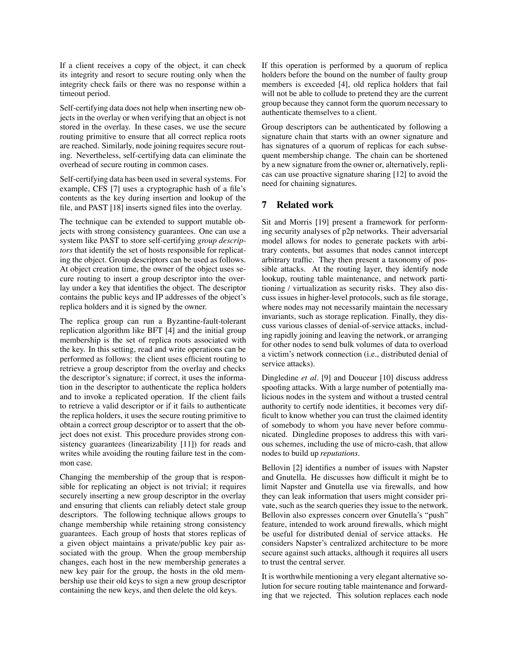If a client receives a copy of the object, it can check its integrity and resort to secure routing only when the integrity check fails or there was no response within a timeout period.

Self-certifying data does not help when inserting new objects in the overlay or when verifying that an object is not stored in the overlay. In these cases, we use the secure routing primitive to ensure that all correct replica roots are reached. Similarly, node joining requires secure routing. Nevertheless, self-certifying data can eliminate the overhead of secure routing in common cases.

Self-certifying data has been used in several systems. For example, CFS [7] uses a cryptographic hash of a file's contents as the key during insertion and lookup of the file, and PAST [18] inserts signed files into the overlay.

The technique can be extended to support mutable objects with strong consistency guarantees. One can use a system like PAST to store self-certifying *group descriptors* that identify the set of hosts responsible for replicating the object. Group descriptors can be used as follows. At object creation time, the owner of the object uses secure routing to insert a group descriptor into the overlay under a key that identifies the object. The descriptor contains the public keys and IP addresses of the object's replica holders and it is signed by the owner.

The replica group can run a Byzantine-fault-tolerant replication algorithm like BFT [4] and the initial group membership is the set of replica roots associated with the key. In this setting, read and write operations can be performed as follows: the client uses efficient routing to retrieve a group descriptor from the overlay and checks the descriptor's signature; if correct, it uses the information in the descriptor to authenticate the replica holders and to invoke a replicated operation. If the client fails to retrieve a valid descriptor or if it fails to authenticate the replica holders, it uses the secure routing primitive to obtain a correct group descriptor or to assert that the object does not exist. This procedure provides strong consistency guarantees (linearizability [11]) for reads and writes while avoiding the routing failure test in the common case.

Changing the membership of the group that is responsible for replicating an object is not trivial; it requires securely inserting a new group descriptor in the overlay and ensuring that clients can reliably detect stale group descriptors. The following technique allows groups to change membership while retaining strong consistency guarantees. Each group of hosts that stores replicas of a given object maintains a private/public key pair associated with the group. When the group membership changes, each host in the new membership generates a new key pair for the group, the hosts in the old membership use their old keys to sign a new group descriptor containing the new keys, and then delete the old keys.

If this operation is performed by a quorum of replica holders before the bound on the number of faulty group members is exceeded [4], old replica holders that fail will not be able to collude to pretend they are the current group because they cannot form the quorum necessary to authenticate themselves to a client.

Group descriptors can be authenticated by following a signature chain that starts with an owner signature and has signatures of a quorum of replicas for each subsequent membership change. The chain can be shortened by a new signature from the owner or, alternatively, replicas can use proactive signature sharing [12] to avoid the need for chaining signatures.

#### **7 Related work**

Sit and Morris [19] present a framework for performing security analyses of p2p networks. Their adversarial model allows for nodes to generate packets with arbitrary contents, but assumes that nodes cannot intercept arbitrary traffic. They then present a taxonomy of possible attacks. At the routing layer, they identify node lookup, routing table maintenance, and network partitioning / virtualization as security risks. They also discuss issues in higher-level protocols, such as file storage, where nodes may not necessarily maintain the necessary invariants, such as storage replication. Finally, they discuss various classes of denial-of-service attacks, including rapidly joining and leaving the network, or arranging for other nodes to send bulk volumes of data to overload a victim's network connection (i.e., distributed denial of service attacks).

Dingledine *et al.* [9] and Douceur [10] discuss address spoofing attacks. With a large number of potentially malicious nodes in the system and without a trusted central authority to certify node identities, it becomes very difficult to know whether you can trust the claimed identity of somebody to whom you have never before communicated. Dingledine proposes to address this with various schemes, including the use of micro-cash, that allow nodes to build up *reputations*.

Bellovin [2] identifies a number of issues with Napster and Gnutella. He discusses how difficult it might be to limit Napster and Gnutella use via firewalls, and how they can leak information that users might consider private, such as the search queries they issue to the network. Bellovin also expresses concern over Gnutella's "push" feature, intended to work around firewalls, which might be useful for distributed denial of service attacks. He considers Napster's centralized architecture to be more secure against such attacks, although it requires all users to trust the central server.

It is worthwhile mentioning a very elegant alternative solution for secure routing table maintenance and forwarding that we rejected. This solution replaces each node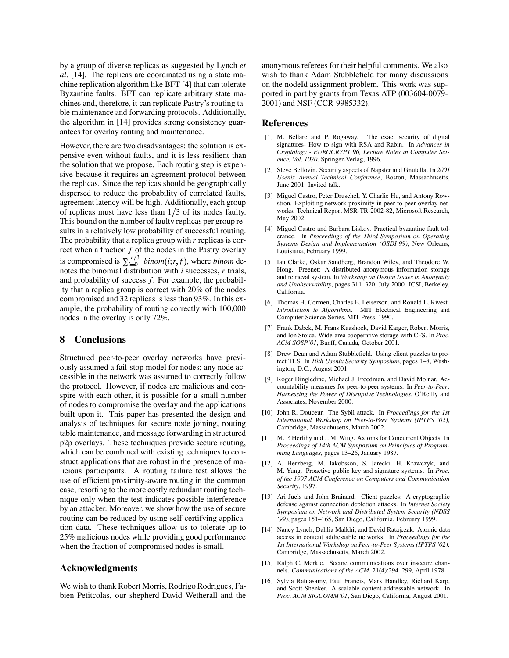by a group of diverse replicas as suggested by Lynch *et al.* [14]. The replicas are coordinated using a state machine replication algorithm like BFT [4] that can tolerate Byzantine faults. BFT can replicate arbitrary state machines and, therefore, it can replicate Pastry's routing table maintenance and forwarding protocols. Additionally, the algorithm in [14] provides strong consistency guarantees for overlay routing and maintenance.

However, there are two disadvantages: the solution is expensive even without faults, and it is less resilient than the solution that we propose. Each routing step is expensive because it requires an agreement protocol between the replicas. Since the replicas should be geographically dispersed to reduce the probability of correlated faults, agreement latency will be high. Additionally, each group of replicas must have less than  $1/3$  of its nodes faulty. This bound on the number of faulty replicas per group results in a relatively low probability of successful routing. The probability that a replica group with *r* replicas is correct when a fraction *f* of the nodes in the Pastry overlay is compromised is  $\sum_{i=0}^{\lfloor r/3 \rfloor} binom(i;r,f)$ , where *binom* denotes the binomial distribution with *i* successes, *r* trials, and probability of success *f* . For example, the probability that a replica group is correct with 20% of the nodes compromised and 32 replicas is less than 93%. In this example, the probability of routing correctly with 100,000 nodes in the overlay is only 72%.

#### **8 Conclusions**

Structured peer-to-peer overlay networks have previously assumed a fail-stop model for nodes; any node accessible in the network was assumed to correctly follow the protocol. However, if nodes are malicious and conspire with each other, it is possible for a small number of nodes to compromise the overlay and the applications built upon it. This paper has presented the design and analysis of techniques for secure node joining, routing table maintenance, and message forwarding in structured p2p overlays. These techniques provide secure routing, which can be combined with existing techniques to construct applications that are robust in the presence of malicious participants. A routing failure test allows the use of efficient proximity-aware routing in the common case, resorting to the more costly redundant routing technique only when the test indicates possible interference by an attacker. Moreover, we show how the use of secure routing can be reduced by using self-certifying application data. These techniques allow us to tolerate up to 25% malicious nodes while providing good performance when the fraction of compromised nodes is small.

#### **Acknowledgments**

We wish to thank Robert Morris, Rodrigo Rodrigues, Fabien Petitcolas, our shepherd David Wetherall and the anonymous referees for their helpful comments. We also wish to thank Adam Stubblefield for many discussions on the nodeId assignment problem. This work was supported in part by grants from Texas ATP (003604-0079- 2001) and NSF (CCR-9985332).

#### **References**

- [1] M. Bellare and P. Rogaway. The exact security of digital signatures- How to sign with RSA and Rabin. In *Advances in Cryptology - EUROCRYPT 96, Lecture Notes in Computer Science, Vol. 1070*. Springer-Verlag, 1996.
- [2] Steve Bellovin. Security aspects of Napster and Gnutella. In *2001 Usenix Annual Technical Conference*, Boston, Massachusetts, June 2001. Invited talk.
- [3] Miguel Castro, Peter Druschel, Y. Charlie Hu, and Antony Rowstron. Exploiting network proximity in peer-to-peer overlay networks. Technical Report MSR-TR-2002-82, Microsoft Research, May 2002.
- [4] Miguel Castro and Barbara Liskov. Practical byzantine fault tolerance. In *Proceedings of the Third Symposium on Operating Systems Design and Implementation (OSDI'99)*, New Orleans, Louisiana, February 1999.
- [5] Ian Clarke, Oskar Sandberg, Brandon Wiley, and Theodore W. Hong. Freenet: A distributed anonymous information storage and retrieval system. In *Workshop on Design Issues in Anonymity and Unobservability*, pages 311–320, July 2000. ICSI, Berkeley, California.
- [6] Thomas H. Cormen, Charles E. Leiserson, and Ronald L. Rivest. *Introduction to Algorithms*. MIT Electrical Engineering and Computer Science Series. MIT Press, 1990.
- [7] Frank Dabek, M. Frans Kaashoek, David Karger, Robert Morris, and Ion Stoica. Wide-area cooperative storage with CFS. In *Proc. ACM SOSP'01*, Banff, Canada, October 2001.
- [8] Drew Dean and Adam Stubblefield. Using client puzzles to protect TLS. In *10th Usenix Security Symposium*, pages 1–8, Washington, D.C., August 2001.
- [9] Roger Dingledine, Michael J. Freedman, and David Molnar. Accountability measures for peer-to-peer systems. In *Peer-to-Peer: Harnessing the Power of Disruptive Technologies*. O'Reilly and Associates, November 2000.
- [10] John R. Douceur. The Sybil attack. In *Proceedings for the 1st International Workshop on Peer-to-Peer Systems (IPTPS '02)*, Cambridge, Massachusetts, March 2002.
- [11] M. P. Herlihy and J. M. Wing. Axioms for Concurrent Objects. In *Proceedings of 14th ACM Symposium on Principles of Programming Languages*, pages 13–26, January 1987.
- [12] A. Herzberg, M. Jakobsson, S. Jarecki, H. Krawczyk, and M. Yung. Proactive public key and signature systems. In *Proc. of the 1997 ACM Conference on Computers and Communication Security*, 1997.
- [13] Ari Juels and John Brainard. Client puzzles: A cryptographic defense against connection depletion attacks. In *Internet Society Symposium on Network and Distributed System Security (NDSS '99)*, pages 151–165, San Diego, California, February 1999.
- [14] Nancy Lynch, Dahlia Malkhi, and David Ratajczak. Atomic data access in content addressable networks. In *Proceedings for the 1st International Workshop on Peer-to-Peer Systems (IPTPS '02)*, Cambridge, Massachusetts, March 2002.
- [15] Ralph C. Merkle. Secure communications over insecure channels. *Communications of the ACM*, 21(4):294–299, April 1978.
- [16] Sylvia Ratnasamy, Paul Francis, Mark Handley, Richard Karp, and Scott Shenker. A scalable content-addressable network. In *Proc. ACM SIGCOMM'01*, San Diego, California, August 2001.